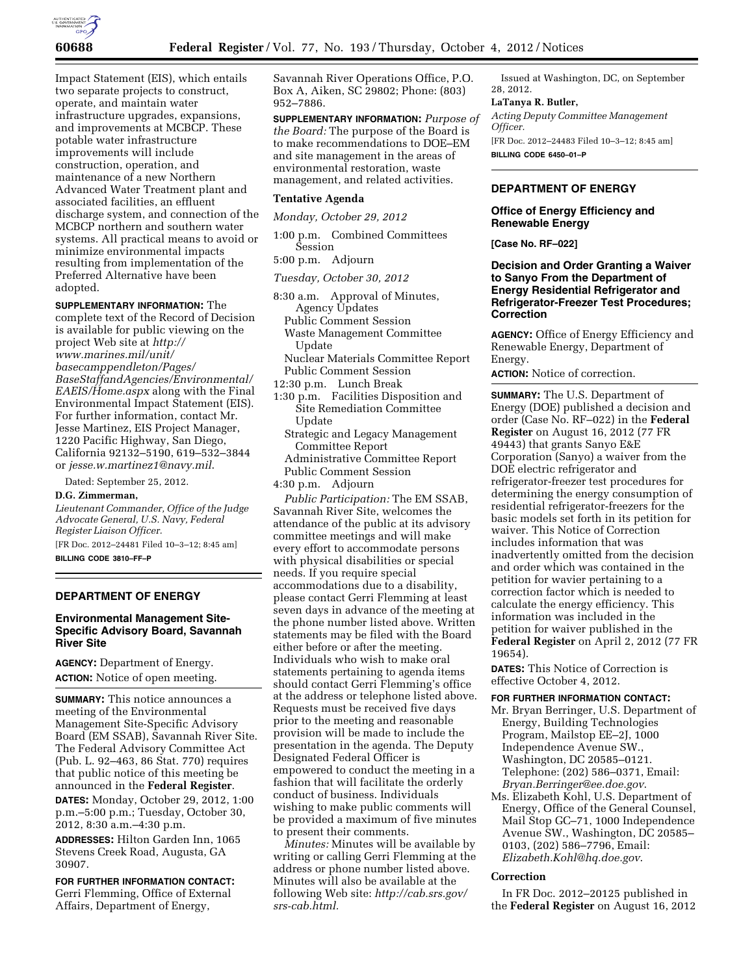

Impact Statement (EIS), which entails two separate projects to construct, operate, and maintain water infrastructure upgrades, expansions, and improvements at MCBCP. These potable water infrastructure improvements will include construction, operation, and maintenance of a new Northern Advanced Water Treatment plant and associated facilities, an effluent discharge system, and connection of the MCBCP northern and southern water systems. All practical means to avoid or minimize environmental impacts resulting from implementation of the Preferred Alternative have been adopted.

### **SUPPLEMENTARY INFORMATION:** The

complete text of the Record of Decision is available for public viewing on the project Web site at *[http://](http://www.marines.mil/unit/basecamppendleton/Pages/BaseStaffandAgencies/Environmental/EAEIS/Home.aspx) [www.marines.mil/unit/](http://www.marines.mil/unit/basecamppendleton/Pages/BaseStaffandAgencies/Environmental/EAEIS/Home.aspx) [basecamppendleton/Pages/](http://www.marines.mil/unit/basecamppendleton/Pages/BaseStaffandAgencies/Environmental/EAEIS/Home.aspx)  [BaseStaffandAgencies/Environmental/](http://www.marines.mil/unit/basecamppendleton/Pages/BaseStaffandAgencies/Environmental/EAEIS/Home.aspx) [EAEIS/Home.aspx](http://www.marines.mil/unit/basecamppendleton/Pages/BaseStaffandAgencies/Environmental/EAEIS/Home.aspx)* along with the Final Environmental Impact Statement (EIS). For further information, contact Mr. Jesse Martinez, EIS Project Manager, 1220 Pacific Highway, San Diego, California 92132–5190, 619–532–3844 or *[jesse.w.martinez1@navy.mil](mailto:jesse.w.martinez1@navy.mil)*.

Dated: September 25, 2012.

# **D.G. Zimmerman,**

*Lieutenant Commander, Office of the Judge Advocate General, U.S. Navy, Federal Register Liaison Officer.* 

[FR Doc. 2012–24481 Filed 10–3–12; 8:45 am]

**BILLING CODE 3810–FF–P** 

## **DEPARTMENT OF ENERGY**

## **Environmental Management Site-Specific Advisory Board, Savannah River Site**

**AGENCY:** Department of Energy. **ACTION:** Notice of open meeting.

**SUMMARY:** This notice announces a meeting of the Environmental Management Site-Specific Advisory Board (EM SSAB), Savannah River Site. The Federal Advisory Committee Act (Pub. L. 92–463, 86 Stat. 770) requires that public notice of this meeting be announced in the **Federal Register**.

**DATES:** Monday, October 29, 2012, 1:00 p.m.–5:00 p.m.; Tuesday, October 30, 2012, 8:30 a.m.–4:30 p.m.

**ADDRESSES:** Hilton Garden Inn, 1065 Stevens Creek Road, Augusta, GA 30907.

**FOR FURTHER INFORMATION CONTACT:**  Gerri Flemming, Office of External Affairs, Department of Energy,

Savannah River Operations Office, P.O. Box A, Aiken, SC 29802; Phone: (803) 952–7886.

**SUPPLEMENTARY INFORMATION:** *Purpose of the Board:* The purpose of the Board is to make recommendations to DOE–EM and site management in the areas of environmental restoration, waste management, and related activities.

### **Tentative Agenda**

*Monday, October 29, 2012* 

1:00 p.m. Combined Committees Session 5:00 p.m. Adjourn

*Tuesday, October 30, 2012* 

8:30 a.m. Approval of Minutes, Agency Updates Public Comment Session Waste Management Committee Update

Nuclear Materials Committee Report Public Comment Session

12:30 p.m. Lunch Break

- 1:30 p.m. Facilities Disposition and Site Remediation Committee Update
	- Strategic and Legacy Management Committee Report
	- Administrative Committee Report Public Comment Session
- 4:30 p.m. Adjourn

*Public Participation:* The EM SSAB, Savannah River Site, welcomes the attendance of the public at its advisory committee meetings and will make every effort to accommodate persons with physical disabilities or special needs. If you require special accommodations due to a disability, please contact Gerri Flemming at least seven days in advance of the meeting at the phone number listed above. Written statements may be filed with the Board either before or after the meeting. Individuals who wish to make oral statements pertaining to agenda items should contact Gerri Flemming's office at the address or telephone listed above. Requests must be received five days prior to the meeting and reasonable provision will be made to include the presentation in the agenda. The Deputy Designated Federal Officer is empowered to conduct the meeting in a fashion that will facilitate the orderly conduct of business. Individuals wishing to make public comments will be provided a maximum of five minutes to present their comments.

*Minutes:* Minutes will be available by writing or calling Gerri Flemming at the address or phone number listed above. Minutes will also be available at the following Web site: *[http://cab.srs.gov/](http://cab.srs.gov/srs-cab.html)  [srs-cab.html.](http://cab.srs.gov/srs-cab.html)* 

Issued at Washington, DC, on September 28, 2012.

### **LaTanya R. Butler,**

*Acting Deputy Committee Management Officer.*  [FR Doc. 2012–24483 Filed 10–3–12; 8:45 am] **BILLING CODE 6450–01–P** 

## **DEPARTMENT OF ENERGY**

**Office of Energy Efficiency and Renewable Energy** 

**[Case No. RF–022]** 

### **Decision and Order Granting a Waiver to Sanyo From the Department of Energy Residential Refrigerator and Refrigerator-Freezer Test Procedures; Correction**

**AGENCY:** Office of Energy Efficiency and Renewable Energy, Department of Energy.

**ACTION:** Notice of correction.

**SUMMARY:** The U.S. Department of Energy (DOE) published a decision and order (Case No. RF–022) in the **Federal Register** on August 16, 2012 (77 FR 49443) that grants Sanyo E&E Corporation (Sanyo) a waiver from the DOE electric refrigerator and refrigerator-freezer test procedures for determining the energy consumption of residential refrigerator-freezers for the basic models set forth in its petition for waiver. This Notice of Correction includes information that was inadvertently omitted from the decision and order which was contained in the petition for wavier pertaining to a correction factor which is needed to calculate the energy efficiency. This information was included in the petition for waiver published in the **Federal Register** on April 2, 2012 (77 FR 19654).

**DATES:** This Notice of Correction is effective October 4, 2012.

# **FOR FURTHER INFORMATION CONTACT:**

- Mr. Bryan Berringer, U.S. Department of Energy, Building Technologies Program, Mailstop EE–2J, 1000 Independence Avenue SW., Washington, DC 20585–0121. Telephone: (202) 586–0371, Email: *[Bryan.Berringer@ee.doe.gov](mailto:Bryan.Berringer@ee.doe.gov)*.
- Ms. Elizabeth Kohl, U.S. Department of Energy, Office of the General Counsel, Mail Stop GC–71, 1000 Independence Avenue SW., Washington, DC 20585– 0103, (202) 586–7796, Email: *[Elizabeth.Kohl@hq.doe.gov](mailto:Elizabeth.Kohl@hq.doe.gov)*.

#### **Correction**

In FR Doc. 2012–20125 published in the **Federal Register** on August 16, 2012